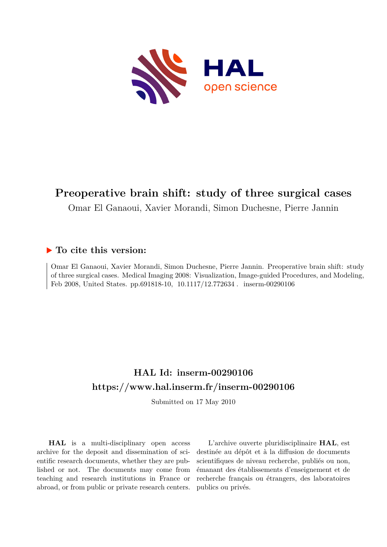

# **Preoperative brain shift: study of three surgical cases**

Omar El Ganaoui, Xavier Morandi, Simon Duchesne, Pierre Jannin

# **To cite this version:**

Omar El Ganaoui, Xavier Morandi, Simon Duchesne, Pierre Jannin. Preoperative brain shift: study of three surgical cases. Medical Imaging 2008: Visualization, Image-guided Procedures, and Modeling, Feb 2008, United States. pp.691818-10, 10.1117/12.772634. inserm-00290106

# **HAL Id: inserm-00290106 <https://www.hal.inserm.fr/inserm-00290106>**

Submitted on 17 May 2010

**HAL** is a multi-disciplinary open access archive for the deposit and dissemination of scientific research documents, whether they are published or not. The documents may come from teaching and research institutions in France or abroad, or from public or private research centers.

L'archive ouverte pluridisciplinaire **HAL**, est destinée au dépôt et à la diffusion de documents scientifiques de niveau recherche, publiés ou non, émanant des établissements d'enseignement et de recherche français ou étrangers, des laboratoires publics ou privés.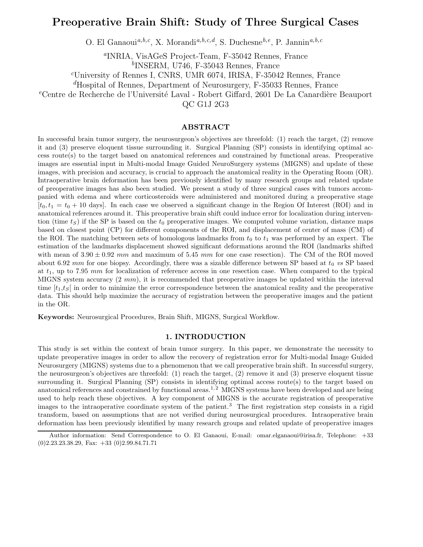# Preoperative Brain Shift: Study of Three Surgical Cases

O. El Ganaoui<sup>a,b,c</sup>, X. Morandi<sup>a,b,c,d</sup>, S. Duchesne<sup>b,e</sup>, P. Jannin<sup>a,b,c</sup>

a INRIA, VisAGeS Project-Team, F-35042 Rennes, France

b INSERM, U746, F-35043 Rennes, France

<sup>c</sup>University of Rennes I, CNRS, UMR 6074, IRISA, F-35042 Rennes, France

<sup>d</sup>Hospital of Rennes, Department of Neurosurgery, F-35033 Rennes, France

 $e^e$ Centre de Recherche de l'Université Laval - Robert Giffard, 2601 De La Canardière Beauport

QC G1J 2G3

# ABSTRACT

In successful brain tumor surgery, the neurosurgeon's objectives are threefold: (1) reach the target, (2) remove it and (3) preserve eloquent tissue surrounding it. Surgical Planning (SP) consists in identifying optimal access route(s) to the target based on anatomical references and constrained by functional areas. Preoperative images are essential input in Multi-modal Image Guided NeuroSurgery systems (MIGNS) and update of these images, with precision and accuracy, is crucial to approach the anatomical reality in the Operating Room (OR). Intraoperative brain deformation has been previously identified by many research groups and related update of preoperative images has also been studied. We present a study of three surgical cases with tumors accompanied with edema and where corticosteroids were administered and monitored during a preoperative stage  $[t_0,t_1 = t_0 + 10$  days]. In each case we observed a significant change in the Region Of Interest (ROI) and in anatomical references around it. This preoperative brain shift could induce error for localization during intervention (time  $t<sub>S</sub>$ ) if the SP is based on the  $t<sub>0</sub>$  preoperative images. We computed volume variation, distance maps based on closest point (CP) for different components of the ROI, and displacement of center of mass (CM) of the ROI. The matching between sets of homologous landmarks from  $t_0$  to  $t_1$  was performed by an expert. The estimation of the landmarks displacement showed significant deformations around the ROI (landmarks shifted with mean of  $3.90 \pm 0.92$  mm and maximum of 5.45 mm for one case resection). The CM of the ROI moved about 6.92 mm for one biopsy. Accordingly, there was a sizable difference between SP based at  $t_0$  vs SP based at  $t_1$ , up to 7.95 mm for localization of reference access in one resection case. When compared to the typical MIGNS system accuracy  $(2 \, mm)$ , it is recommended that preoperative images be updated within the interval time  $[t_1,t_S]$  in order to minimize the error correspondence between the anatomical reality and the preoperative data. This should help maximize the accuracy of registration between the preoperative images and the patient in the OR.

Keywords: Neurosurgical Procedures, Brain Shift, MIGNS, Surgical Workflow.

#### 1. INTRODUCTION

This study is set within the context of brain tumor surgery. In this paper, we demonstrate the necessity to update preoperative images in order to allow the recovery of registration error for Multi-modal Image Guided Neurosurgery (MIGNS) systems due to a phenomenon that we call preoperative brain shift. In successful surgery, the neurosurgeon's objectives are threefold: (1) reach the target, (2) remove it and (3) preserve eloquent tissue surrounding it. Surgical Planning (SP) consists in identifying optimal access route(s) to the target based on anatomical references and constrained by functional areas.<sup>1, 2</sup> MIGNS systems have been developed and are being used to help reach these objectives. A key component of MIGNS is the accurate registration of preoperative images to the intraoperative coordinate system of the patient.<sup>3</sup> The first registration step consists in a rigid transform, based on assumptions that are not verified during neurosurgical procedures. Intraoperative brain deformation has been previously identified by many research groups and related update of preoperative images

Author information: Send Correspondence to O. El Ganaoui, E-mail: omar.elganaoui@irisa.fr, Telephone: +33  $(0)2.23.23.38.29$ , Fax:  $+33$   $(0)2.99.84.71.71$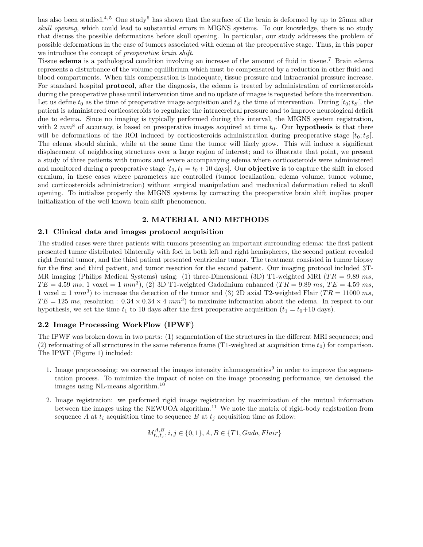has also been studied.<sup>4, 5</sup> One study<sup>6</sup> has shown that the surface of the brain is deformed by up to 25mm after skull opening, which could lead to substantial errors in MIGNS systems. To our knowledge, there is no study that discuss the possible deformations before skull opening. In particular, our study addresses the problem of possible deformations in the case of tumors associated with edema at the preoperative stage. Thus, in this paper we introduce the concept of *preoperative brain shift*.

Tissue edema is a pathological condition involving an increase of the amount of fluid in tissue.<sup>7</sup> Brain edema represents a disturbance of the volume equilibrium which must be compensated by a reduction in other fluid and blood compartments. When this compensation is inadequate, tissue pressure and intracranial pressure increase. For standard hospital **protocol**, after the diagnosis, the edema is treated by administration of corticosteroids during the preoperative phase until intervention time and no update of images is requested before the intervention. Let us define  $t_0$  as the time of preoperative image acquisition and  $t_S$  the time of intervention. During  $[t_0; t_S]$ , the patient is administered corticosteroids to regularize the intracerebral pressure and to improve neurological deficit due to edema. Since no imaging is typically performed during this interval, the MIGNS system registration, with 2  $mm<sup>8</sup>$  of accuracy, is based on preoperative images acquired at time  $t<sub>0</sub>$ . Our hypothesis is that there will be deformations of the ROI induced by corticosteroids administration during preoperative stage  $[t_0;t_S]$ . The edema should shrink, while at the same time the tumor will likely grow. This will induce a significant displacement of neighboring structures over a large region of interest; and to illustrate that point, we present a study of three patients with tumors and severe accompanying edema where corticosteroids were administered and monitored during a preoperative stage  $[t_0, t_1 = t_0 + 10 \text{ days}]$ . Our **objective** is to capture the shift in closed cranium, in these cases where parameters are controlled (tumor localization, edema volume, tumor volume, and corticosteroids administration) without surgical manipulation and mechanical deformation relied to skull opening. To initialize properly the MIGNS systems by correcting the preoperative brain shift implies proper initialization of the well known brain shift phenomenon.

## 2. MATERIAL AND METHODS

#### 2.1 Clinical data and images protocol acquisition

The studied cases were three patients with tumors presenting an important surrounding edema: the first patient presented tumor distributed bilaterally with foci in both left and right hemispheres, the second patient revealed right frontal tumor, and the third patient presented ventricular tumor. The treatment consisted in tumor biopsy for the first and third patient, and tumor resection for the second patient. Our imaging protocol included 3T-MR imaging (Philips Medical Systems) using: (1) three-Dimensional (3D) T1-weighted MRI ( $TR = 9.89$  ms,  $TE = 4.59$  ms, 1 voxel = 1 mm<sup>3</sup>), (2) 3D T1-weighted Gadolinium enhanced (TR = 9.89 ms, TE = 4.59 ms, 1 voxel  $\simeq$  1 mm<sup>3</sup>) to increase the detection of the tumor and (3) 2D axial T2-weighted Flair (TR = 11000 ms,  $TE = 125$  ms, resolution :  $0.34 \times 0.34 \times 4$  mm<sup>3</sup>) to maximize information about the edema. In respect to our hypothesis, we set the time  $t_1$  to 10 days after the first preoperative acquisition  $(t_1 = t_0 + 10 \text{ days})$ .

#### 2.2 Image Processing WorkFlow (IPWF)

The IPWF was broken down in two parts: (1) segmentation of the structures in the different MRI sequences; and (2) reformating of all structures in the same reference frame (T1-weighted at acquisition time  $t_0$ ) for comparison. The IPWF (Figure 1) included:

- 1. Image preprocessing: we corrected the images intensity inhomogeneities<sup>9</sup> in order to improve the segmentation process. To minimize the impact of noise on the image processing performance, we denoised the images using NL-means algorithm.<sup>10</sup>
- 2. Image registration: we performed rigid image registration by maximization of the mutual information between the images using the NEWUOA algorithm.<sup>11</sup> We note the matrix of rigid-body registration from sequence A at  $t_i$  acquisition time to sequence B at  $t_j$  acquisition time as follow:

$$
M_{t_i,t_j}^{A,B}, i,j \in \{0,1\}, A, B \in \{T1, Gado, Flair\}
$$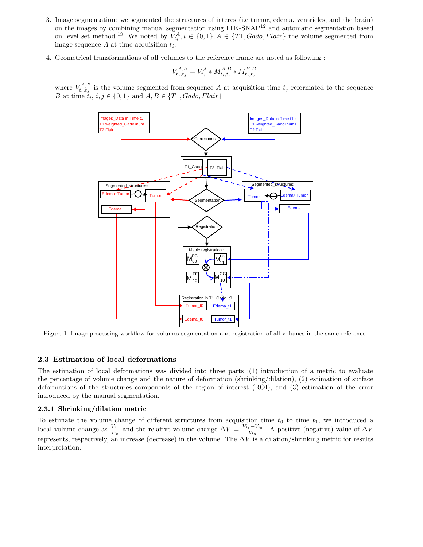- 3. Image segmentation: we segmented the structures of interest(i.e tumor, edema, ventricles, and the brain) on the images by combining manual segmentation using ITK-SNAP<sup>12</sup> and automatic segmentation based on level set method.<sup>13</sup> We noted by  $V_{t_i}^A, i \in \{0,1\}, A \in \{T1, Gado, Flair\}$  the volume segmented from image sequence  $A$  at time acquisition  $t_i$ .
- 4. Geometrical transformations of all volumes to the reference frame are noted as following :

$$
V_{t_i, t_j}^{A, B} = V_{t_i}^A * M_{t_i, t_i}^{A, B} * M_{t_i, t_j}^{B, B}
$$

where  $V_{t_i,t_j}^{A,B}$  is the volume segmented from sequence A at acquisition time  $t_j$  reformated to the sequence B at time  $t_i$ ,  $i, j \in \{0, 1\}$  and  $A, B \in \{T1, Gado, Flair\}$ 



Figure 1. Image processing workflow for volumes segmentation and registration of all volumes in the same reference.

#### 2.3 Estimation of local deformations

The estimation of local deformations was divided into three parts :(1) introduction of a metric to evaluate the percentage of volume change and the nature of deformation (shrinking/dilation), (2) estimation of surface deformations of the structures components of the region of interest (ROI), and (3) estimation of the error introduced by the manual segmentation.

#### 2.3.1 Shrinking/dilation metric

To estimate the volume change of different structures from acquisition time  $t_0$  to time  $t_1$ , we introduced a local volume change as  $\frac{V_{t_1}}{V_{t_1}}$  $\frac{V_{t_1}}{V_{t_0}}$  and the relative volume change  $\Delta V = \frac{V_{t_1} - V_{t_0}}{V_{t_0}}$  $\frac{1 - Vt_0}{V_{t_0}}$ . A positive (negative) value of  $\Delta V$ represents, respectively, an increase (decrease) in the volume. The  $\Delta V$  is a dilation/shrinking metric for results interpretation.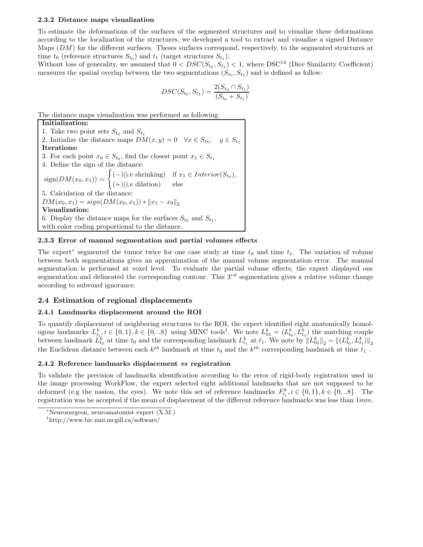#### 2.3.2 Distance maps visualization

To estimate the deformations of the surfaces of the segmented structures and to visualize these deformations according to the localization of the structures, we developed a tool to extract and visualize a signed Distance Maps  $(DM)$  for the different surfaces. Theses surfaces correspond, respectively, to the segmented structures at time  $t_0$  (reference structures  $S_{t_0}$ ) and  $t_1$  (target structures  $S_{t_1}$ ).

Without loss of generality, we assumed that  $0 < DSC(S_{t_0}, S_{t_1}) < 1$ , where DSC<sup>14</sup> (Dice Similarity Coefficient) measures the spatial overlap between the two segmentations  $(S_{t_0}, S_{t_1})$  and is defined as follow:

$$
DSC(S_{t_0}, S_{t_1}) = \frac{2(S_{t_0} \cap S_{t_1})}{(S_{t_0} + S_{t_1})}
$$

The distance maps visualization was performed as following:

Initialization: 1. Take two point sets  $S_{t_0}$  and  $S_{t_1}$ 2. Initialize the distance maps  $DM(x, y) = 0 \quad \forall x \in S_{t_0}, \quad y \in S_{t_1}$ Iterations: 3. For each point  $x_0 \in S_{t_0}$ , find the closest point  $x_1 \in S_{t_1}$ 4. Define the sign of the distance:  $sign(DM(x_0, x_1)) =$  $\int (-)(i.e)$  shrinking) if  $x_1 \in$  *Interior*( $S_{t_0}$ ), (+)(i.e dilation) else 5. Calculation of the distance:  $DM(x_0, x_1) = sign(DM(x_0, x_1)) * ||x_1 - x_0||_2$ Visualization: 6. Display the distance maps for the surfaces  $S_{t_0}$  and  $S_{t_1}$ , with color coding proportional to the distance.

#### 2.3.3 Error of manual segmentation and partial volumes effects

The expert<sup>\*</sup> segmented the tumor twice for one case study at time  $t_0$  and time  $t_1$ . The variation of volume between both segmentations gives an approximation of the manual volume segmentation error. The manual segmentation is performed at voxel level. To evaluate the partial volume effects, the expert displayed one segmentation and delineated the corresponding contour. This  $3^{rd}$  segmentation gives a relative volume change according to subvoxel ignorance.

# 2.4 Estimation of regional displacements

#### 2.4.1 Landmarks displacement around the ROI

To quantify displacement of neighboring structures to the ROI, the expert identified eight anatomically homologous landmarks  $L_{t_i}^k, i \in \{0, 1\}, k \in \{0, ..8\}$  using MINC tools<sup>†</sup>. We note  $L_{01}^k = (L_{t_0}^k, L_{t_1}^k)$  the matching couple between landmark  $L_{t_0}^k$  at time  $t_0$  and the corresponding landmark  $L_{t_1}^k$  at  $t_1$ . We note by  $||L_{01}^k||_2 = ||(L_{t_0}^k, L_{t_1}^k)||_2$ the Euclidean distance between each  $k^{th}$  landmark at time  $t_0$  and the  $k^{th}$  corresponding landmark at time  $t_1$ .

#### 2.4.2 Reference landmarks displacement vs registration

To validate the precision of landmarks identification according to the error of rigid-body registration used in the image processing WorkFlow, the expert selected eight additional landmarks that are not supposed to be deformed (e.g the nasion, the eyes). We note this set of reference landmarks  $F_{t_i}^k, i \in \{0, 1\}, k \in \{0, ...8\}$ . The registration was be accepted if the mean of displacement of the different reference landmarks was less than  $1mm$ .

<sup>∗</sup>Neurosurgeon, neuroanatomist expert (X.M.)

<sup>†</sup>http://www.bic.mni.mcgill.ca/software/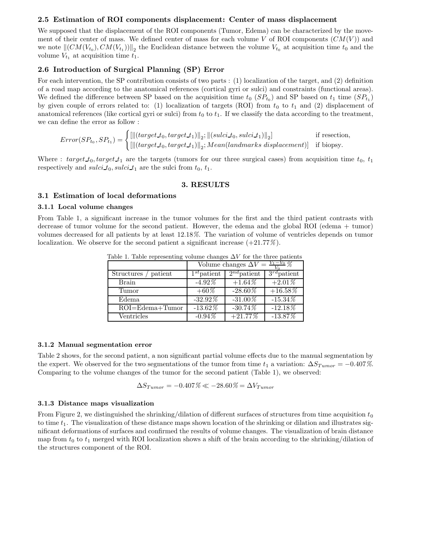#### 2.5 Estimation of ROI components displacement: Center of mass displacement

We supposed that the displacement of the ROI components (Tumor, Edema) can be characterized by the movement of their center of mass. We defined center of mass for each volume V of ROI components  $(CM(V))$  and we note  $\|(CM(V_{t_0}), CM(V_{t_1}))\|_2$  the Euclidean distance between the volume  $V_{t_0}$  at acquisition time  $t_0$  and the volume  $V_{t_1}$  at acquisition time  $t_1$ .

## 2.6 Introduction of Surgical Planning (SP) Error

For each intervention, the SP contribution consists of two parts : (1) localization of the target, and (2) definition of a road map according to the anatomical references (cortical gyri or sulci) and constraints (functional areas). We defined the difference between SP based on the acquisition time  $t_0$  ( $SP_{t_0}$ ) and SP based on  $t_1$  time  $(SP_{t_1})$ by given couple of errors related to: (1) localization of targets (ROI) from  $t_0$  to  $t_1$  and (2) displacement of anatomical references (like cortical gyri or sulci) from  $t_0$  to  $t_1$ . If we classify the data according to the treatment, we can define the error as follow :

$$
Error(SP_{t_0}, SP_{t_1}) = \begin{cases} \left[ \left\| (target\_t_0, target\_t_1) \right\|_2; \left\| (sulci\_t_0, sulci\_t_1) \right\|_2 \right] & \text{if resection,} \\ \left[ \left\| (target\_t_0, target\_t_1) \right\|_2; Mean(landmarks displacement) \right] & \text{if biopy.} \end{cases}
$$

Where :  $target_t_0, target_t_1$  are the targets (tumors for our three surgical cases) from acquisition time  $t_0, t_1$ respectively and sulci  $t_0$ , sulci  $t_1$  are the sulci from  $t_0$ ,  $t_1$ .

#### 3. RESULTS

#### 3.1 Estimation of local deformations

#### 3.1.1 Local volume changes

From Table 1, a significant increase in the tumor volumes for the first and the third patient contrasts with decrease of tumor volume for the second patient. However, the edema and the global ROI (edema + tumor) volumes decreased for all patients by at least 12.18%. The variation of volume of ventricles depends on tumor localization. We observe for the second patient a significant increase  $(+21.77\%)$ .

|                              | Volume changes $\Delta V = \frac{V_1}{V_2}$ |                             |                  |  |
|------------------------------|---------------------------------------------|-----------------------------|------------------|--|
| patient<br><b>Structures</b> | $1^{st}$ patient                            | $\overline{2^{nd}}$ patient | $3^{rd}$ patient |  |
| <b>Brain</b>                 | $-4.92\%$                                   | $+1.64\%$                   | $+2.01\%$        |  |
| Tumor                        | $+60\%$                                     | $-28.60\%$                  | $+16.58\%$       |  |
| Edema                        | $-32.92\%$                                  | $-31.00\%$                  | $-15.34\%$       |  |
| $ROI = Edema + Tumor$        | $-13.62\%$                                  | $-30.74\%$                  | $-12.18\%$       |  |
| Ventricles                   | $-0.94\overline{\mathcal{Z}}$               | $+21.77%$                   | $-13.87\%$       |  |

Table 1. Table representing volume changes  $\Delta V$  for the three patients

#### 3.1.2 Manual segmentation error

Table 2 shows, for the second patient, a non significant partial volume effects due to the manual segmentation by the expert. We observed for the two segmentations of the tumor from time  $t_1$  a variation:  $\Delta S_{Tumor} = -0.407\%$ . Comparing to the volume changes of the tumor for the second patient (Table 1), we observed:

$$
\Delta S_{Tumor} = -0.407\% \ll -28.60\% = \Delta V_{Tumor}
$$

#### 3.1.3 Distance maps visualization

From Figure 2, we distinguished the shrinking/dilation of different surfaces of structures from time acquisition  $t_0$ to time  $t_1$ . The visualization of these distance maps shown location of the shrinking or dilation and illustrates significant deformations of surfaces and confirmed the results of volume changes. The visualization of brain distance map from  $t_0$  to  $t_1$  merged with ROI localization shows a shift of the brain according to the shrinking/dilation of the structures component of the ROI.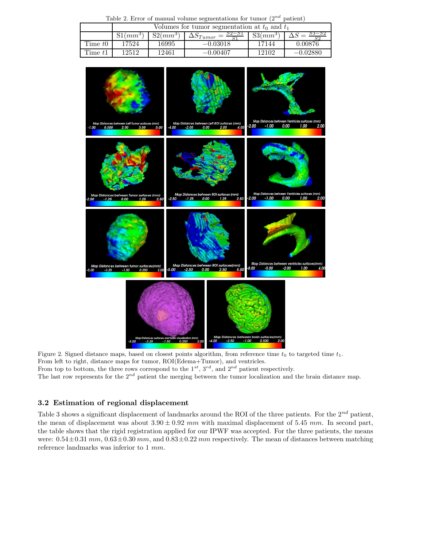Table 2. Error of manual volume segmentations for tumor  $(2^{nd}$  patient)

|           | Volumes for tumor segmentation at $t_0$ and $t_1$ |            |                                 |            |            |  |
|-----------|---------------------------------------------------|------------|---------------------------------|------------|------------|--|
|           | $S1(mm^3)$                                        | $S2(mm^3)$ | $52 - 51$<br>$\Delta S_{Tumor}$ | $S3(mm^3)$ | 53–52      |  |
| Time $t0$ | 17524                                             | 16995      | $-0.03018$                      | 17144      | 0.00876    |  |
| Time $t1$ | 12512                                             | 12461      | $-0.00407$                      | 12102      | $-0.02880$ |  |



Figure 2. Signed distance maps, based on closest points algorithm, from reference time  $t_0$  to targeted time  $t_1$ . From left to right, distance maps for tumor,  $ROI(Edema+Tumor)$ , and ventricles. From top to bottom, the three rows correspond to the  $1^{st}$ ,  $3^{rd}$ , and  $2^{nd}$  patient respectively.

The last row represents for the  $2^{nd}$  patient the merging between the tumor localization and the brain distance map.

# 3.2 Estimation of regional displacement

Table 3 shows a significant displacement of landmarks around the ROI of the three patients. For the  $2^{nd}$  patient, the mean of displacement was about  $3.90 \pm 0.92$  mm with maximal displacement of 5.45 mm. In second part, the table shows that the rigid registration applied for our IPWF was accepted. For the three patients, the means were:  $0.54 \pm 0.31$  mm,  $0.63 \pm 0.30$  mm, and  $0.83 \pm 0.22$  mm respectively. The mean of distances between matching reference landmarks was inferior to 1 mm.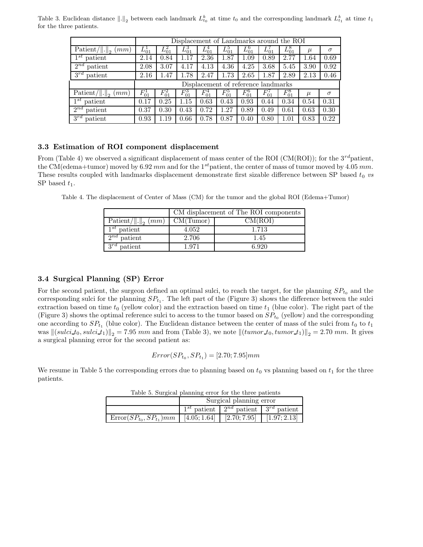Table 3. Euclidean distance  $\|.\|_2$  between each landmark  $L_{t_0}^k$  at time  $t_0$  and the corresponding landmark  $L_{t_1}^k$  at time  $t_1$ for the three patients.

|                                                  | Displacement of Landmarks around the ROI |            |            |            |            |            |            |            |       |          |
|--------------------------------------------------|------------------------------------------|------------|------------|------------|------------|------------|------------|------------|-------|----------|
| $\text{Patient}/\ \cdot\ _2$<br>mm)              | $L_{01}^1$                               | $L_{01}^2$ | $L_{01}^3$ | $L_{01}^4$ | $L_{01}^5$ | $L_{01}^6$ | $L_{01}^7$ | $L_{01}^8$ | $\mu$ | $\sigma$ |
| $1^{st}$<br>patient                              | 2.14                                     | 0.84       | 1.17       | 2.36       | 1.87       | 1.09       | 0.89       | 2.77       | 1.64  | 0.69     |
| patient<br>$2^{nd}$                              | 2.08                                     | 3.07       | 4.17       | 4.13       | 4.36       | 4.25       | 3.68       | 5.45       | 3.90  | 0.92     |
| $3^{rd}$<br>patient                              | 2.16                                     | 1.47       | 1.78       | 2.47       | 1.73       | 2.65       | 1.87       | 2.89       | 2.13  | 0.46     |
|                                                  | Displacement of reference landmarks      |            |            |            |            |            |            |            |       |          |
| $\overline{\text{Pattern}}/ \ \cdot\ _2$<br>(mm) | $F_{01}^1$                               | $F_{01}^2$ | $F_{01}^3$ | $F_{01}^4$ | $F_{01}^5$ | $F_{01}^6$ | $F_{01}^7$ | $F_{01}^8$ | $\mu$ | $\sigma$ |
| $1^{st}$<br>patient                              | 0.17                                     | 0.25       | 1.15       | 0.63       | 0.43       | 0.93       | 0.44       | 0.34       | 0.54  | 0.31     |
| patient<br>$2^{nd}$                              | 0.37                                     | 0.30       | 0.43       | 0.72       | 1.27       | 0.89       | 0.49       | 0.61       | 0.63  | 0.30     |
| $3^{rd}$<br>patient                              | 0.93                                     | 1.19       | 0.66       | 0.78       | 0.87       | 0.40       | 0.80       | 1.01       | 0.83  | 0.22     |

## 3.3 Estimation of ROI component displacement

From (Table 4) we observed a significant displacement of mass center of the ROI (CM(ROI)); for the  $3^{rd}$ patient, the CM(edema+tumor) moved by 6.92 mm and for the 1<sup>st</sup>patient, the center of mass of tumor moved by 4.05 mm. These results coupled with landmarks displacement demonstrate first sizable difference between SP based  $t_0$  vs SP based  $t_1$ .

Table 4. The displacement of Center of Mass (CM) for the tumor and the global ROI (Edema+Tumor)

|                             | CM displacement of The ROI components |         |  |  |
|-----------------------------|---------------------------------------|---------|--|--|
| Patient/ $\ .\ _2$ (mm)     | CM(Tumor)                             | CM(ROI) |  |  |
| $1^{st}$ patient            | 4.052                                 | 1.713   |  |  |
| $\overline{2^{nd}}$ patient | 2.706                                 | 1.45    |  |  |
| $3^{rd}$<br>patient         | 1.971                                 | 6.920   |  |  |

#### 3.4 Surgical Planning (SP) Error

For the second patient, the surgeon defined an optimal sulci, to reach the target, for the planning  $SP_{t_0}$  and the corresponding sulci for the planning  $SP_{t_1}$ . The left part of the (Figure 3) shows the difference between the sulci extraction based on time  $t_0$  (yellow color) and the extraction based on time  $t_1$  (blue color). The right part of the (Figure 3) shows the optimal reference sulci to access to the tumor based on  $SP_{t_0}$  (yellow) and the corresponding one according to  $SP_{t_1}$  (blue color). The Euclidean distance between the center of mass of the sulci from  $t_0$  to  $t_1$ was  $\left\|(sulci t_0, sulci t_1)\right\|_2 = 7.95$  mm and from (Table 3), we note  $\left\|(tumor t_0, tumor t_1)\right\|_2 = 2.70$  mm. It gives a surgical planning error for the second patient as:

$$
Error(SP_{t_0}, SP_{t_1}) = [2.70; 7.95]mm
$$

We resume in Table 5 the corresponding errors due to planning based on  $t_0$  vs planning based on  $t_1$  for the three patients.

| Twole of particular promining error for the three pathenties         |                         |                                                        |  |  |  |
|----------------------------------------------------------------------|-------------------------|--------------------------------------------------------|--|--|--|
|                                                                      | Surgical planning error |                                                        |  |  |  |
|                                                                      |                         | $1^{st}$ patient   $2^{nd}$ patient   $3^{rd}$ patient |  |  |  |
| $Error(SP_{t_0}, SP_{t_1})mm$ [4.05; 1.64] [2.70; 7.95] [1.97; 2.13] |                         |                                                        |  |  |  |

Table 5. Surgical planning error for the three patients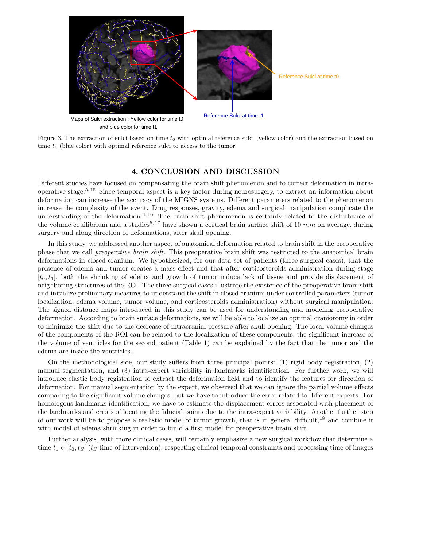

 and blue color for time t1 Figure 3. The extraction of sulci based on time  $t_0$  with optimal reference sulci (yellow color) and the extraction based on

time  $t_1$  (blue color) with optimal reference sulci to access to the tumor.

## 4. CONCLUSION AND DISCUSSION

Different studies have focused on compensating the brain shift phenomenon and to correct deformation in intraoperative stage.5, <sup>15</sup> Since temporal aspect is a key factor during neurosurgery, to extract an information about deformation can increase the accuracy of the MIGNS systems. Different parameters related to the phenomenon increase the complexity of the event. Drug responses, gravity, edema and surgical manipulation complicate the understanding of the deformation.<sup>4, 16</sup> The brain shift phenomenon is certainly related to the disturbance of the volume equilibrium and a studies<sup>5, 17</sup> have shown a cortical brain surface shift of 10 mm on average, during surgery and along direction of deformations, after skull opening.

In this study, we addressed another aspect of anatomical deformation related to brain shift in the preoperative phase that we call preoperative brain shift. This preoperative brain shift was restricted to the anatomical brain deformations in closed-cranium. We hypothesized, for our data set of patients (three surgical cases), that the presence of edema and tumor creates a mass effect and that after corticosteroids administration during stage  $[t_0,t_1]$ , both the shrinking of edema and growth of tumor induce lack of tissue and provide displacement of neighboring structures of the ROI. The three surgical cases illustrate the existence of the preoperative brain shift and initialize preliminary measures to understand the shift in closed cranium under controlled parameters (tumor localization, edema volume, tumor volume, and corticosteroids administration) without surgical manipulation. The signed distance maps introduced in this study can be used for understanding and modeling preoperative deformation. According to brain surface deformations, we will be able to localize an optimal craniotomy in order to minimize the shift due to the decrease of intracranial pressure after skull opening. The local volume changes of the components of the ROI can be related to the localization of these components; the significant increase of the volume of ventricles for the second patient (Table 1) can be explained by the fact that the tumor and the edema are inside the ventricles.

On the methodological side, our study suffers from three principal points: (1) rigid body registration, (2) manual segmentation, and (3) intra-expert variability in landmarks identification. For further work, we will introduce elastic body registration to extract the deformation field and to identify the features for direction of deformation. For manual segmentation by the expert, we observed that we can ignore the partial volume effects comparing to the significant volume changes, but we have to introduce the error related to different experts. For homologous landmarks identification, we have to estimate the displacement errors associated with placement of the landmarks and errors of locating the fiducial points due to the intra-expert variability. Another further step of our work will be to propose a realistic model of tumor growth, that is in general difficult,<sup>18</sup> and combine it with model of edema shrinking in order to build a first model for preoperative brain shift.

Further analysis, with more clinical cases, will certainly emphasize a new surgical workflow that determine a time  $t_1 \in [t_0, t_S]$  ( $t_S$  time of intervention), respecting clinical temporal constraints and processing time of images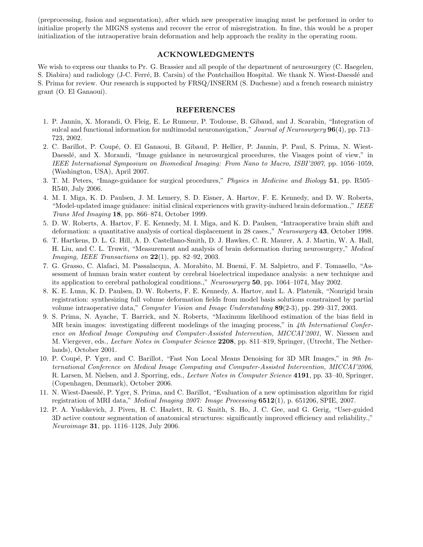(preprocessing, fusion and segmentation), after which new preoperative imaging must be performed in order to initialize properly the MIGNS systems and recover the error of misregistration. In fine, this would be a proper initialization of the intraoperative brain deformation and help approach the reality in the operating room.

#### ACKNOWLEDGMENTS

We wish to express our thanks to Pr. G. Brassier and all people of the department of neurosurgery (C. Haegelen, S. Diabira) and radiology (J-C. Ferré, B. Carsin) of the Pontchaillou Hospital. We thank N. Wiest-Daesslé and S. Prima for review. Our research is supported by FRSQ/INSERM (S. Duchesne) and a french research ministry grant (O. El Ganaoui).

### REFERENCES

- 1. P. Jannin, X. Morandi, O. Fleig, E. Le Rumeur, P. Toulouse, B. Gibaud, and J. Scarabin, "Integration of sulcal and functional information for multimodal neuronavigation," Journal of Neurosurgery  $96(4)$ , pp. 713– 723, 2002.
- 2. C. Barillot, P. Coupé, O. El Ganaoui, B. Gibaud, P. Hellier, P. Jannin, P. Paul, S. Prima, N. Wiest-Daesslé, and X. Morandi, "Image guidance in neurosurgical procedures, the Visages point of view," in IEEE International Symposium on Biomedical Imaging: From Nano to Macro, ISBI'2007, pp. 1056–1059, (Washington, USA), April 2007.
- 3. T. M. Peters, "Image-guidance for surgical procedures," Physics in Medicine and Biology 51, pp. R505– R540, July 2006.
- 4. M. I. Miga, K. D. Paulsen, J. M. Lemery, S. D. Eisner, A. Hartov, F. E. Kennedy, and D. W. Roberts, "Model-updated image guidance: initial clinical experiences with gravity-induced brain deformation.," IEEE Trans Med Imaging 18, pp. 866–874, October 1999.
- 5. D. W. Roberts, A. Hartov, F. E. Kennedy, M. I. Miga, and K. D. Paulsen, "Intraoperative brain shift and deformation: a quantitative analysis of cortical displacement in 28 cases.," Neurosurgery 43, October 1998.
- 6. T. Hartkens, D. L. G. Hill, A. D. Castellano-Smith, D. J. Hawkes, C. R. Maurer, A. J. Martin, W. A. Hall, H. Liu, and C. L. Truwit, "Measurement and analysis of brain deformation during neurosurgery," Medical *Imaging, IEEE Transactions on*  $22(1)$ , pp. 82–92, 2003.
- 7. G. Grasso, C. Alafaci, M. Passalacqua, A. Morabito, M. Buemi, F. M. Salpietro, and F. Tomasello, "Assessment of human brain water content by cerebral bioelectrical impedance analysis: a new technique and its application to cerebral pathological conditions.," Neurosurgery  $50$ , pp. 1064–1074, May 2002.
- 8. K. E. Lunn, K. D. Paulsen, D. W. Roberts, F. E. Kennedy, A. Hartov, and L. A. Platenik, "Nonrigid brain registration: synthesizing full volume deformation fields from model basis solutions constrained by partial volume intraoperative data," Computer Vision and Image Understanding 89(2-3), pp. 299–317, 2003.
- 9. S. Prima, N. Ayache, T. Barrick, and N. Roberts, "Maximum likelihood estimation of the bias field in MR brain images: investigating different modelings of the imaging process," in 4th International Conference on Medical Image Computing and Computer-Assisted Intervention, MICCAI'2001, W. Niessen and M. Viergever, eds., Lecture Notes in Computer Science 2208, pp. 811–819, Springer, (Utrecht, The Netherlands), October 2001.
- 10. P. Coupé, P. Yger, and C. Barillot, "Fast Non Local Means Denoising for 3D MR Images," in 9th International Conference on Medical Image Computing and Computer-Assisted Intervention, MICCAI'2006, R. Larsen, M. Nielsen, and J. Sporring, eds., *Lecture Notes in Computer Science* 4191, pp. 33–40, Springer, (Copenhagen, Denmark), October 2006.
- 11. N. Wiest-Daessl´e, P. Yger, S. Prima, and C. Barillot, "Evaluation of a new optimisation algorithm for rigid registration of MRI data," *Medical Imaging 2007: Image Processing*  $6512(1)$ , p. 651206, SPIE, 2007.
- 12. P. A. Yushkevich, J. Piven, H. C. Hazlett, R. G. Smith, S. Ho, J. C. Gee, and G. Gerig, "User-guided 3D active contour segmentation of anatomical structures: significantly improved efficiency and reliability.," Neuroimage 31, pp. 1116–1128, July 2006.